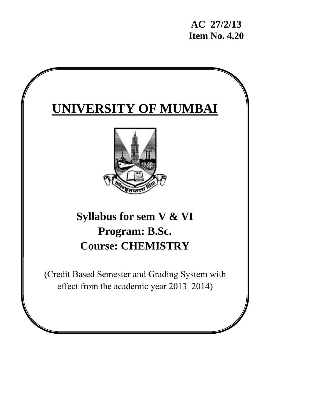**AC 27/2/13 Item No. 4.20** 

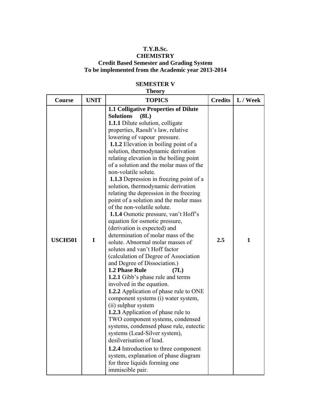## **T.Y.B.Sc.**

### **CHEMISTRY Credit Based Semester and Grading System To be implemented from the Academic year 2013-2014**

## **SEMESTER V**

## **Theory Course UNIT TOPICS Credits L / Week USCH501 I 1.1 Colligative Properties of Dilute Solutions (8L) 1.1.1** Dilute solution, colligate properties, Raoult's law, relative lowering of vapour pressure.  **1.1.2** Elevation in boiling point of a solution, thermodynamic derivation relating elevation in the boiling point of a solution and the molar mass of the non-volatile solute.  **1.1.3** Depression in freezing point of a solution, thermodynamic derivation relating the depression in the freezing point of a solution and the molar mass of the non-volatile solute.  **1.1.4** Osmotic pressure, van't Hoff's equation for osmotic pressure, (derivation is expected) and determination of molar mass of the solute. Abnormal molar masses of solutes and van't Hoff factor (calculation of Degree of Association and Degree of Dissociation.) **1.2 Phase Rule (7L) 1.2.1** Gibb's phase rule and terms involved in the equation. **1.2.2** Application of phase rule to ONE component systems (i) water system, (ii) sulphur system **1.2.3** Application of phase rule to TWO component systems, condensed systems, condensed phase rule, eutectic systems (Lead-Silver system), desilverisation of lead. **1.2.4** Introduction to three component system, explanation of phase diagram  $2.5 \t1 \t1$

for three liquids forming one

immiscible pair.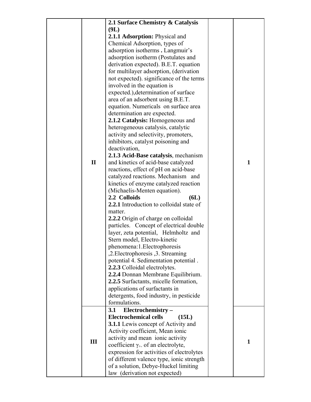|              | 2.1 Surface Chemistry & Catalysis          |              |
|--------------|--------------------------------------------|--------------|
|              | (9L)                                       |              |
|              | 2.1.1 Adsorption: Physical and             |              |
|              |                                            |              |
|              | Chemical Adsorption, types of              |              |
|              | adsorption isotherms . Langmuir's          |              |
|              | adsorption isotherm (Postulates and        |              |
|              | derivation expected). B.E.T. equation      |              |
|              | for multilayer adsorption, (derivation     |              |
|              | not expected). significance of the terms   |              |
|              | involved in the equation is                |              |
|              | expected.), determination of surface       |              |
|              | area of an adsorbent using B.E.T.          |              |
|              | equation. Numericals on surface area       |              |
|              |                                            |              |
|              | determination are expected.                |              |
|              | 2.1.2 Catalysis: Homogeneous and           |              |
|              | heterogeneous catalysis, catalytic         |              |
|              | activity and selectivity, promoters,       |              |
|              | inhibitors, catalyst poisoning and         |              |
|              | deactivation,                              |              |
|              | 2.1.3 Acid-Base catalysis, mechanism       |              |
| $\mathbf{I}$ | and kinetics of acid-base catalyzed        | $\mathbf{1}$ |
|              | reactions, effect of pH on acid-base       |              |
|              | catalyzed reactions. Mechanism and         |              |
|              | kinetics of enzyme catalyzed reaction      |              |
|              | (Michaelis-Menten equation).               |              |
|              |                                            |              |
|              | 2.2 Colloids<br>6L)                        |              |
|              | 2.2.1 Introduction to colloidal state of   |              |
|              | matter.                                    |              |
|              | 2.2.2 Origin of charge on colloidal        |              |
|              | particles. Concept of electrical double    |              |
|              | layer, zeta potential, Helmholtz and       |              |
|              | Stern model, Electro-kinetic               |              |
|              | phenomena: 1. Electrophoresis              |              |
|              | ,2. Electrophoresis ,3. Streaming          |              |
|              | potential 4. Sedimentation potential.      |              |
|              | 2.2.3 Colloidal electrolytes.              |              |
|              | 2.2.4 Donnan Membrane Equilibrium.         |              |
|              | 2.2.5 Surfactants, micelle formation,      |              |
|              | applications of surfactants in             |              |
|              | detergents, food industry, in pesticide    |              |
|              | formulations.                              |              |
|              |                                            |              |
|              | 3.1<br>Electrochemistry-                   |              |
|              | <b>Electrochemical cells</b><br>(15L)      |              |
|              | <b>3.1.1</b> Lewis concept of Activity and |              |
|              | Activity coefficient, Mean ionic           |              |
| III          | activity and mean ionic activity           | $\mathbf{1}$ |
|              | coefficient $\gamma_+$ of an electrolyte,  |              |
|              | expression for activities of electrolytes  |              |
|              | of different valence type, ionic strength  |              |
|              | of a solution, Debye-Huckel limiting       |              |
|              | law (derivation not expected)              |              |
|              |                                            |              |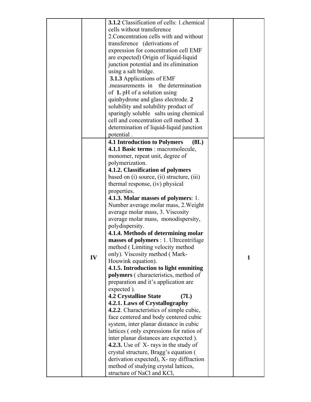|    | 3.1.2 Classification of cells: 1 chemical      |              |
|----|------------------------------------------------|--------------|
|    | cells without transference                     |              |
|    | 2. Concentration cells with and without        |              |
|    | transference (derivations of                   |              |
|    | expression for concentration cell EMF          |              |
|    | are expected) Origin of liquid-liquid          |              |
|    | junction potential and its elimination         |              |
|    | using a salt bridge.                           |              |
|    | <b>3.1.3</b> Applications of EMF               |              |
|    | measurements in the determination              |              |
|    | of 1. pH of a solution using                   |              |
|    | quinhydrone and glass electrode. 2             |              |
|    | solubility and solubility product of           |              |
|    | sparingly soluble salts using chemical         |              |
|    | cell and concentration cell method 3.          |              |
|    | determination of liquid-liquid junction        |              |
|    | potential.                                     |              |
|    | <b>4.1 Introduction to Polymers</b><br>(8L)    |              |
|    | 4.1.1 Basic terms : macromolecule,             |              |
|    | monomer, repeat unit, degree of                |              |
|    | polymerization.                                |              |
|    | 4.1.2. Classification of polymers              |              |
|    | based on (i) source, (ii) structure, (iii)     |              |
|    | thermal response, (iv) physical                |              |
|    | properties.                                    |              |
|    | <b>4.1.3. Molar masses of polymers: 1.</b>     |              |
|    | Number average molar mass, 2. Weight           |              |
|    | average molar mass, 3. Viscosity               |              |
|    | average molar mass, monodispersity,            |              |
|    | polydispersity.                                |              |
|    | 4.1.4. Methods of determining molar            |              |
|    | masses of polymers : 1. Ultreentrifuge         |              |
|    | method (Limiting velocity method               |              |
|    | only). Viscosity method (Mark-                 |              |
| IV | Houwink equation).                             | $\mathbf{1}$ |
|    | 4.1.5. Introduction to light emmiting          |              |
|    | polymers (characteristics, method of           |              |
|    | preparation and it's application are           |              |
|    | expected).                                     |              |
|    | <b>4.2 Crystalline State</b><br>(7L)           |              |
|    | 4.2.1. Laws of Crystallography                 |              |
|    | <b>4.2.2.</b> Characteristics of simple cubic, |              |
|    | face centered and body centered cubic          |              |
|    | system, inter planar distance in cubic         |              |
|    | lattices (only expressions for ratios of       |              |
|    | inter planar distances are expected).          |              |
|    | 4.2.3. Use of X-rays in the study of           |              |
|    | crystal structure, Bragg's equation (          |              |
|    | derivation expected), X- ray diffraction       |              |
|    | method of studying crystal lattices,           |              |
|    | structure of NaCl and KCl,                     |              |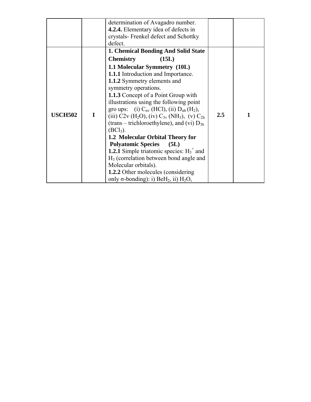|                |   | determination of Avagadro number.                                                                                                                                                                                                                                                                                                                                                                                                                                                                                                                                                                                                                                                                                    |     |   |
|----------------|---|----------------------------------------------------------------------------------------------------------------------------------------------------------------------------------------------------------------------------------------------------------------------------------------------------------------------------------------------------------------------------------------------------------------------------------------------------------------------------------------------------------------------------------------------------------------------------------------------------------------------------------------------------------------------------------------------------------------------|-----|---|
|                |   | <b>4.2.4.</b> Elementary idea of defects in                                                                                                                                                                                                                                                                                                                                                                                                                                                                                                                                                                                                                                                                          |     |   |
|                |   | crystals-Frenkel defect and Schottky                                                                                                                                                                                                                                                                                                                                                                                                                                                                                                                                                                                                                                                                                 |     |   |
|                |   | defect.                                                                                                                                                                                                                                                                                                                                                                                                                                                                                                                                                                                                                                                                                                              |     |   |
|                |   | <b>1. Chemical Bonding And Solid State</b>                                                                                                                                                                                                                                                                                                                                                                                                                                                                                                                                                                                                                                                                           |     |   |
|                |   | <b>Chemistry</b><br>(15L)                                                                                                                                                                                                                                                                                                                                                                                                                                                                                                                                                                                                                                                                                            |     |   |
| <b>USCH502</b> | I | 1.1 Molecular Symmetry (10L)<br><b>1.1.1</b> Introduction and Importance.<br>1.1.2 Symmetry elements and<br>symmetry operations.<br><b>1.1.3</b> Concept of a Point Group with<br>illustrations using the following point<br>gro ups: (i) $C_{\alpha v}$ (HCl), (ii) $D_{\alpha h}$ (H <sub>2</sub> ),<br>(iii) C2v (H <sub>2</sub> O), (iv) C <sub>3v</sub> (NH <sub>3</sub> ), (v) C <sub>2h</sub><br>(trans – trichloroethylene), and (vi) $D_{3h}$<br>$(BCl3)$ .<br>1.2 Molecular Orbital Theory for<br><b>Polyatomic Species</b><br>(5L)<br><b>1.2.1</b> Simple triatomic species: $H_3^+$ and<br>$H3$ (correlation between bond angle and<br>Molecular orbitals).<br><b>1.2.2</b> Other molecules (considering | 2.5 | 1 |
|                |   | only $\sigma$ -bonding): i) BeH <sub>2</sub> , ii) H <sub>2</sub> O,                                                                                                                                                                                                                                                                                                                                                                                                                                                                                                                                                                                                                                                 |     |   |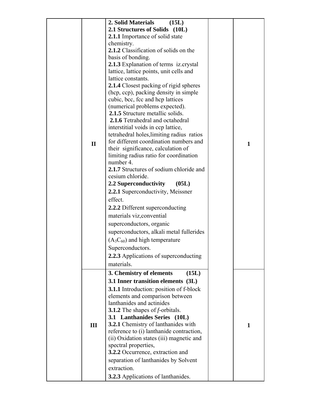|              | 2. Solid Materials<br>(15L)                    |              |
|--------------|------------------------------------------------|--------------|
|              | 2.1 Structures of Solids (10L)                 |              |
|              | 2.1.1 Importance of solid state                |              |
|              | chemistry.                                     |              |
|              | 2.1.2 Classification of solids on the          |              |
|              | basis of bonding.                              |              |
|              | 2.1.3 Explanation of terms iz.crystal          |              |
|              | lattice, lattice points, unit cells and        |              |
|              | lattice constants.                             |              |
|              | 2.1.4 Closest packing of rigid spheres         |              |
|              | (hcp, ccp), packing density in simple          |              |
|              | cubic, bcc, fcc and hcp lattices               |              |
|              | (numerical problems expected).                 |              |
|              | <b>2.1.5</b> Structure metallic solids.        |              |
|              | 2.1.6 Tetrahedral and octahedral               |              |
|              | interstitial voids in ccp lattice,             |              |
|              | tetrahedral holes, limiting radius ratios      |              |
| $\mathbf{I}$ | for different coordination numbers and         | $\mathbf{1}$ |
|              | their significance, calculation of             |              |
|              | limiting radius ratio for coordination         |              |
|              | number 4.                                      |              |
|              | 2.1.7 Structures of sodium chloride and        |              |
|              | cesium chloride.                               |              |
|              | 2.2 Superconductivity<br>(05L)                 |              |
|              | 2.2.1 Superconductivity, Meissner              |              |
|              | effect.                                        |              |
|              | <b>2.2.2</b> Different superconducting         |              |
|              | materials viz, convential                      |              |
|              | superconductors, organic                       |              |
|              | superconductors, alkali metal fullerides       |              |
|              | $(A_3C_{60})$ and high temperature             |              |
|              | Superconductors.                               |              |
|              | 2.2.3 Applications of superconducting          |              |
|              | materials.                                     |              |
|              | 3. Chemistry of elements<br>(15L)              |              |
|              | 3.1 Inner transition elements (3L)             |              |
|              | <b>3.1.1</b> Introduction: position of f-block |              |
|              | elements and comparison between                |              |
|              | lanthanides and actinides                      |              |
|              | <b>3.1.2</b> The shapes of $f$ -orbitals.      |              |
|              | 3.1 Lanthanides Series (10L)                   |              |
| III          | <b>3.2.1</b> Chemistry of lanthanides with     | 1            |
|              | reference to (i) lanthanide contraction,       |              |
|              | (ii) Oxidation states (iii) magnetic and       |              |
|              | spectral properties,                           |              |
|              | 3.2.2 Occurrence, extraction and               |              |
|              | separation of lanthanides by Solvent           |              |
|              | extraction.                                    |              |
|              | <b>3.2.3</b> Applications of lanthanides.      |              |
|              |                                                |              |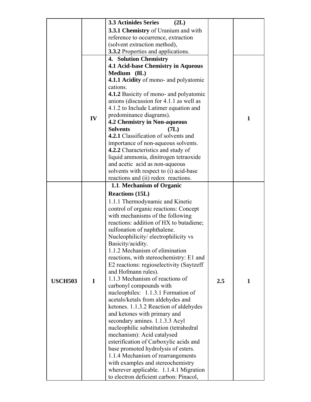|                |    | <b>3.3 Actinides Series</b><br>(2L)                                  |     |              |
|----------------|----|----------------------------------------------------------------------|-----|--------------|
|                |    | 3.3.1 Chemistry of Uranium and with                                  |     |              |
|                |    | reference to occurrence, extraction                                  |     |              |
|                |    | (solvent extraction method),                                         |     |              |
|                |    | <b>3.3.2</b> Properties and applications.                            |     |              |
|                |    | 4. Solution Chemistry                                                |     |              |
|                |    | <b>4.1 Acid-base Chemistry in Aqueous</b>                            |     |              |
|                |    | Medium (8L)                                                          |     |              |
|                |    | 4.1.1 Acidity of mono- and polyatomic                                |     |              |
|                |    | cations.                                                             |     |              |
|                |    | 4.1.2 Basicity of mono- and polyatomic                               |     |              |
|                |    | anions (discussion for 4.1.1 as well as                              |     |              |
|                |    | 4.1.2 to Include Latimer equation and                                |     |              |
|                | IV | predominance diagrams).                                              |     | $\mathbf{1}$ |
|                |    | <b>4.2 Chemistry in Non-aqueous</b>                                  |     |              |
|                |    | <b>Solvents</b><br>(7L)                                              |     |              |
|                |    | 4.2.1 Classification of solvents and                                 |     |              |
|                |    | importance of non-aqueous solvents.                                  |     |              |
|                |    | 4.2.2 Characteristics and study of                                   |     |              |
|                |    | liquid ammonia, dinitrogen tetraoxide                                |     |              |
|                |    | and acetic acid as non-aqueous                                       |     |              |
|                |    | solvents with respect to (i) acid-base                               |     |              |
|                |    | reactions and (ii) redox reactions.                                  |     |              |
|                |    | 1.1. Mechanism of Organic                                            |     |              |
|                |    | <b>Reactions (15L)</b>                                               |     |              |
|                |    | 1.1.1 Thermodynamic and Kinetic                                      |     |              |
|                |    | control of organic reactions: Concept                                |     |              |
|                |    | with mechanisms of the following                                     |     |              |
|                |    | reactions: addition of HX to butadiene;                              |     |              |
|                |    | sulfonation of naphthalene.                                          |     |              |
|                |    | Nucleophilicity/electrophilicity vs                                  |     |              |
|                |    | Basicity/acidity.                                                    |     |              |
|                |    | 1.1.2 Mechanism of elimination                                       |     |              |
|                |    | reactions, with stereochemistry: E1 and                              |     |              |
|                |    | E2 reactions: regioselectivity (Saytzeff)                            |     |              |
|                |    | and Hofmann rules).                                                  |     |              |
| <b>USCH503</b> | I  | 1.1.3 Mechanism of reactions of                                      | 2.5 | 1            |
|                |    | carbonyl compounds with                                              |     |              |
|                |    | nucleophiles: 1.1.3.1 Formation of                                   |     |              |
|                |    | acetals/ketals from aldehydes and                                    |     |              |
|                |    | ketones. 1.1.3.2 Reaction of aldehydes                               |     |              |
|                |    | and ketones with primary and                                         |     |              |
|                |    | secondary amines. 1.1.3.3 Acyl                                       |     |              |
|                |    | nucleophilic substitution (tetrahedral<br>mechanism): Acid catalysed |     |              |
|                |    | esterification of Carboxylic acids and                               |     |              |
|                |    | base promoted hydrolysis of esters.                                  |     |              |
|                |    | 1.1.4 Mechanism of rearrangements                                    |     |              |
|                |    | with examples and stereochemistry                                    |     |              |
|                |    | wherever applicable. 1.1.4.1 Migration                               |     |              |
|                |    | to electron deficient carbon: Pinacol,                               |     |              |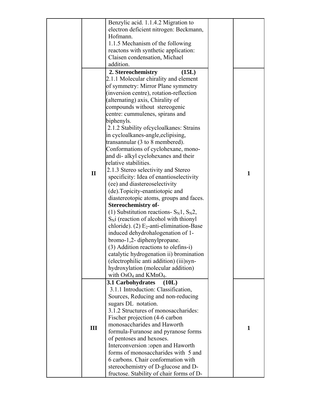|              | Benzylic acid. 1.1.4.2 Migration to           |              |
|--------------|-----------------------------------------------|--------------|
|              | electron deficient nitrogen: Beckmann,        |              |
|              | Hofmann.                                      |              |
|              | 1.1.5 Mechanism of the following              |              |
|              |                                               |              |
|              | reactons with synthetic application:          |              |
|              | Claisen condensation, Michael                 |              |
|              | addition.                                     |              |
|              | 2. Stereochemistry<br>(15L)                   |              |
|              | 2.1.1 Molecular chirality and element         |              |
|              |                                               |              |
|              | of symmetry: Mirror Plane symmetry            |              |
|              | (inversion centre), rotation-reflection       |              |
|              | (alternating) axis, Chirality of              |              |
|              | compounds without stereogenic                 |              |
|              | centre: cummulenes, spirans and               |              |
|              | biphenyls.                                    |              |
|              |                                               |              |
|              | 2.1.2 Stability of cycloalkanes: Strains      |              |
|              | in cycloalkanes-angle, eclipising,            |              |
|              | transannular (3 to 8 membered).               |              |
|              | Conformations of cyclohexane, mono-           |              |
|              | and di- alkyl cyclohexanes and their          |              |
|              | relative stabilities.                         |              |
|              |                                               |              |
| $\mathbf{I}$ | 2.1.3 Stereo selectivity and Stereo           | $\mathbf{1}$ |
|              | specificity: Idea of enantioselectivity       |              |
|              | (ee) and diastereoselectivity                 |              |
|              | (de). Topicity-enantiotopic and               |              |
|              | diastereotopic atoms, groups and faces.       |              |
|              | <b>Stereochemistry of-</b>                    |              |
|              | (1) Substitution reactions- $S_N$ 1, $S_N$ 2, |              |
|              |                                               |              |
|              | $S_N$ i (reaction of alcohol with thionyl     |              |
|              | chloride). (2) $E_2$ -anti-elimination-Base   |              |
|              | induced dehydrohalogenation of 1-             |              |
|              | bromo-1,2-diphenylpropane.                    |              |
|              | (3) Addition reactions to olefins-i)          |              |
|              | catalytic hydrogenation ii) bromination       |              |
|              | (electrophilic anti addition) (iii)syn-       |              |
|              |                                               |              |
|              | hydroxylation (molecular addition)            |              |
|              | with $OsO4$ and KMn $O4$ .                    |              |
|              | 3.1 Carbohydrates<br>(10L)                    |              |
|              | 3.1.1 Introduction: Classification,           |              |
|              | Sources, Reducing and non-reducing            |              |
|              | sugars DL notation.                           |              |
|              | 3.1.2 Structures of monosaccharides:          |              |
|              | Fischer projection (4-6 carbon                |              |
|              | monosaccharides and Haworth                   |              |
| III          |                                               | $\mathbf{1}$ |
|              | formula-Furanose and pyranose forms           |              |
|              | of pentoses and hexoses.                      |              |
|              | Interconversion :open and Haworth             |              |
|              | forms of monosaccharides with 5 and           |              |
|              | 6 carbons. Chair conformation with            |              |
|              | stereochemistry of D-glucose and D-           |              |
|              |                                               |              |
|              | fructose. Stability of chair forms of D-      |              |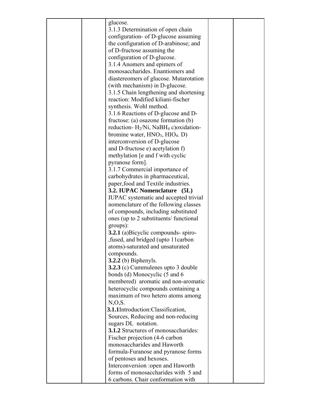|  | glucose.                                                             |  |
|--|----------------------------------------------------------------------|--|
|  | 3.1.3 Determination of open chain                                    |  |
|  | configuration- of D-glucose assuming                                 |  |
|  | the configuration of D-arabinose; and                                |  |
|  | of D-fructose assuming the                                           |  |
|  | configuration of D-glucose.                                          |  |
|  | 3.1.4 Anomers and epimers of                                         |  |
|  | monosaccharides. Enantiomers and                                     |  |
|  | diastereomers of glucose. Mutarotation                               |  |
|  | (with mechanism) in D-glucose.                                       |  |
|  | 3.1.5 Chain lengthening and shortening                               |  |
|  | reaction: Modified kiliani-fischer                                   |  |
|  | synthesis. Wohl method.                                              |  |
|  | 3.1.6 Reactions of D-glucose and D-                                  |  |
|  | fructose: (a) osazone formation $(b)$                                |  |
|  | reduction- $H_2/Ni$ , NaBH <sub>4</sub> c) oxidation-                |  |
|  | bromine water, $HNO3$ , $HIO4$ . D)                                  |  |
|  | interconversion of D-glucose                                         |  |
|  | and D-fructose e) acetylation f)                                     |  |
|  | methylation [e and f with cyclic                                     |  |
|  | pyranose form].                                                      |  |
|  | 3.1.7 Commercial importance of                                       |  |
|  | carbohydrates in pharmaceutical,                                     |  |
|  | paper, food and Textile industries.                                  |  |
|  | 3.2. IUPAC Nomenclature (5L)                                         |  |
|  | IUPAC systematic and accepted trivial                                |  |
|  | nomenclature of the following classes                                |  |
|  | of compounds, including substituted                                  |  |
|  | ones (up to 2 substituents/ functional                               |  |
|  | groups):                                                             |  |
|  | <b>3.2.1</b> (a) Bicyclic compounds- spiro-                          |  |
|  | fused, and bridged (upto 11carbon                                    |  |
|  | atoms)-saturated and unsaturated                                     |  |
|  | compounds.                                                           |  |
|  | $3.2.2$ (b) Biphenyls.                                               |  |
|  | 3.2.3 (c) Cummulenes upto 3 double                                   |  |
|  | bonds (d) Monocyclic (5 and 6<br>membered) aromatic and non-aromatic |  |
|  | heterocyclic compounds containing a                                  |  |
|  | maximum of two hetero atoms among                                    |  |
|  | $N, O, S$ .                                                          |  |
|  | 3.1.1Introduction:Classification,                                    |  |
|  | Sources, Reducing and non-reducing                                   |  |
|  | sugars DL notation.                                                  |  |
|  | <b>3.1.2</b> Structures of monosaccharides:                          |  |
|  | Fischer projection (4-6 carbon                                       |  |
|  | monosaccharides and Haworth                                          |  |
|  | formula-Furanose and pyranose forms                                  |  |
|  | of pentoses and hexoses.                                             |  |
|  | Interconversion : open and Haworth                                   |  |
|  | forms of monosaccharides with 5 and                                  |  |
|  | 6 carbons. Chair conformation with                                   |  |
|  |                                                                      |  |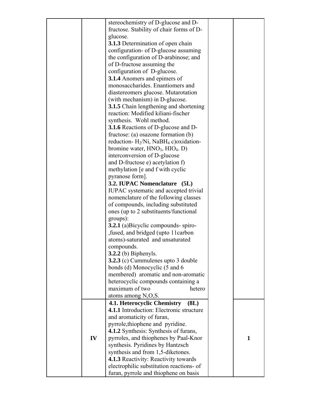|    | stereochemistry of D-glucose and D-                   |              |
|----|-------------------------------------------------------|--------------|
|    | fructose. Stability of chair forms of D-              |              |
|    | glucose.                                              |              |
|    | 3.1.3 Determination of open chain                     |              |
|    | configuration- of D-glucose assuming                  |              |
|    | the configuration of D-arabinose; and                 |              |
|    |                                                       |              |
|    | of D-fructose assuming the                            |              |
|    | configuration of D-glucose.                           |              |
|    | <b>3.1.4</b> Anomers and epimers of                   |              |
|    | monosaccharides. Enantiomers and                      |              |
|    | diastereomers glucose. Mutarotation                   |              |
|    | (with mechanism) in D-glucose.                        |              |
|    | <b>3.1.5</b> Chain lengthening and shortening         |              |
|    | reaction: Modified kiliani-fischer                    |              |
|    | synthesis. Wohl method.                               |              |
|    | 3.1.6 Reactions of D-glucose and D-                   |              |
|    | fructose: (a) osazone formation $(b)$                 |              |
|    | reduction- $H_2/Ni$ , NaBH <sub>4</sub> c) oxidation- |              |
|    | bromine water, $HNO3$ , $HIO4$ . D)                   |              |
|    | interconversion of D-glucose                          |              |
|    | and D-fructose e) acetylation f)                      |              |
|    | methylation [e and f with cyclic                      |              |
|    | pyranose form].                                       |              |
|    | 3.2. IUPAC Nomenclature (5L)                          |              |
|    | IUPAC systematic and accepted trivial                 |              |
|    | nomenclature of the following classes                 |              |
|    | of compounds, including substituted                   |              |
|    | ones (up to 2 substituents/functional)                |              |
|    | groups):                                              |              |
|    | <b>3.2.1</b> (a) Bicyclic compounds-spiro-            |              |
|    | fused, and bridged (upto 11carbon                     |              |
|    |                                                       |              |
|    | atoms)-saturated and unsaturated                      |              |
|    | compounds.                                            |              |
|    | <b>3.2.2</b> (b) Biphenyls.                           |              |
|    | 3.2.3 (c) Cummulenes upto 3 double                    |              |
|    | bonds (d) Monocyclic (5 and 6                         |              |
|    | membered) aromatic and non-aromatic                   |              |
|    | heterocyclic compounds containing a                   |              |
|    | maximum of two<br>hetero                              |              |
|    | atoms among N,O,S.                                    |              |
|    | 4.1. Heterocyclic Chemistry<br>(8L)                   |              |
|    | 4.1.1 Introduction: Electronic structure              |              |
|    | and aromaticity of furan,                             |              |
|    | pyrrole, thiophene and pyridine.                      |              |
|    | <b>4.1.2</b> Synthesis: Synthesis of furans,          |              |
| IV | pyrroles, and thiophenes by Paal-Knor                 | $\mathbf{1}$ |
|    | synthesis. Pyridines by Hantzsch                      |              |
|    | synthesis and from 1,5-diketones.                     |              |
|    | 4.1.3 Reactivity: Reactivity towards                  |              |
|    | electrophilic substitution reactions- of              |              |
|    | furan, pyrrole and thiophene on basis                 |              |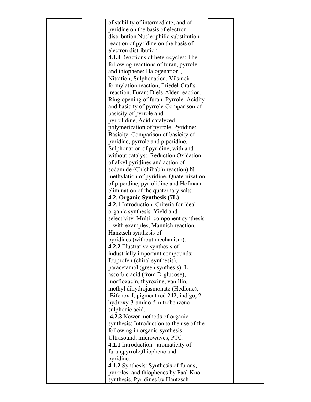|  | of stability of intermediate; and of                                  |  |
|--|-----------------------------------------------------------------------|--|
|  | pyridine on the basis of electron                                     |  |
|  | distribution.Nucleophilic substitution                                |  |
|  | reaction of pyridine on the basis of                                  |  |
|  | electron distribution.                                                |  |
|  | 4.1.4 Reactions of heterocycles: The                                  |  |
|  | following reactions of furan, pyrrole                                 |  |
|  | and thiophene: Halogenation,                                          |  |
|  | Nitration, Sulphonation, Vilsmeir                                     |  |
|  | formylation reaction, Friedel-Crafts                                  |  |
|  | reaction. Furan: Diels-Alder reaction.                                |  |
|  | Ring opening of furan. Pyrrole: Acidity                               |  |
|  | and basicity of pyrrole-Comparison of                                 |  |
|  | basicity of pyrrole and                                               |  |
|  | pyrrolidine, Acid catalyzed                                           |  |
|  | polymerization of pyrrole. Pyridine:                                  |  |
|  | Basicity. Comparison of basicity of                                   |  |
|  | pyridine, pyrrole and piperidine.                                     |  |
|  | Sulphonation of pyridine, with and                                    |  |
|  | without catalyst. Reduction.Oxidation                                 |  |
|  |                                                                       |  |
|  | of alkyl pyridines and action of                                      |  |
|  | sodamide (Chichibabin reaction).N-                                    |  |
|  | methylation of pyridine. Quaternization                               |  |
|  | of piperdine, pyrrolidine and Hofmann                                 |  |
|  | elimination of the quaternary salts.                                  |  |
|  | 4.2. Organic Synthesis (7L)<br>4.2.1 Introduction: Criteria for ideal |  |
|  |                                                                       |  |
|  | organic synthesis. Yield and                                          |  |
|  | selectivity. Multi-component synthesis                                |  |
|  | - with examples, Mannich reaction,                                    |  |
|  | Hanztsch synthesis of                                                 |  |
|  | pyridines (without mechanism).                                        |  |
|  | 4.2.2 Illustrative synthesis of                                       |  |
|  | industrially important compounds:                                     |  |
|  | Ibuprofen (chiral synthesis),                                         |  |
|  | paracetamol (green synthesis), L-                                     |  |
|  | ascorbic acid (from D-glucose),                                       |  |
|  | norfloxacin, thyroxine, vanillin,                                     |  |
|  | methyl dihydrojasmonate (Hedione),                                    |  |
|  | Bifenox-I, pigment red 242, indigo, 2-                                |  |
|  | hydroxy-3-amino-5-nitrobenzene                                        |  |
|  | sulphonic acid.                                                       |  |
|  | <b>4.2.3</b> Newer methods of organic                                 |  |
|  | synthesis: Introduction to the use of the                             |  |
|  | following in organic synthesis:                                       |  |
|  | Ultrasound, microwaves, PTC.                                          |  |
|  | 4.1.1 Introduction: aromaticity of                                    |  |
|  | furan, pyrrole, thiophene and                                         |  |
|  | pyridine.                                                             |  |
|  | 4.1.2 Synthesis: Synthesis of furans,                                 |  |
|  | pyrroles, and thiophenes by Paal-Knor                                 |  |
|  | synthesis. Pyridines by Hantzsch                                      |  |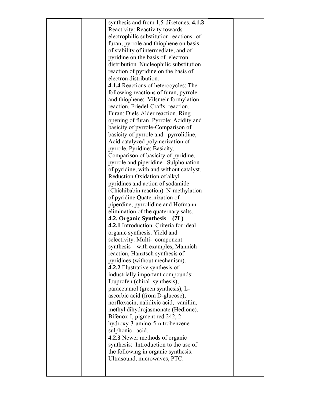|  | synthesis and from $1,5$ -diketones. $4.1.3$<br>Reactivity: Reactivity towards<br>electrophilic substitution reactions- of |  |
|--|----------------------------------------------------------------------------------------------------------------------------|--|
|  | furan, pyrrole and thiophene on basis                                                                                      |  |
|  | of stability of intermediate; and of                                                                                       |  |
|  | pyridine on the basis of electron                                                                                          |  |
|  | distribution. Nucleophilic substitution                                                                                    |  |
|  | reaction of pyridine on the basis of                                                                                       |  |
|  | electron distribution.                                                                                                     |  |
|  | <b>4.1.4</b> Reactions of heterocycles: The                                                                                |  |
|  | following reactions of furan, pyrrole                                                                                      |  |
|  | and thiophene: Vilsmeir formylation                                                                                        |  |
|  | reaction, Friedel-Crafts reaction.                                                                                         |  |
|  | Furan: Diels-Alder reaction. Ring                                                                                          |  |
|  | opening of furan. Pyrrole: Acidity and<br>basicity of pyrrole-Comparison of                                                |  |
|  | basicity of pyrrole and pyrrolidine,                                                                                       |  |
|  | Acid catalyzed polymerization of                                                                                           |  |
|  | pyrrole. Pyridine: Basicity.                                                                                               |  |
|  | Comparison of basicity of pyridine,                                                                                        |  |
|  | pyrrole and piperidine. Sulphonation                                                                                       |  |
|  | of pyridine, with and without catalyst.                                                                                    |  |
|  | Reduction. Oxidation of alkyl                                                                                              |  |
|  | pyridines and action of sodamide                                                                                           |  |
|  | (Chichibabin reaction). N-methylation                                                                                      |  |
|  | of pyridine.Quaternization of                                                                                              |  |
|  | piperdine, pyrrolidine and Hofmann                                                                                         |  |
|  | elimination of the quaternary salts.                                                                                       |  |
|  | 4.2. Organic Synthesis<br>(7L)                                                                                             |  |
|  | 4.2.1 Introduction: Criteria for ideal                                                                                     |  |
|  | organic synthesis. Yield and                                                                                               |  |
|  | selectivity. Multi-component                                                                                               |  |
|  | synthesis – with examples, Mannich                                                                                         |  |
|  | reaction, Hanztsch synthesis of                                                                                            |  |
|  | pyridines (without mechanism).                                                                                             |  |
|  | 4.2.2 Illustrative synthesis of<br>industrially important compounds:                                                       |  |
|  | Ibuprofen (chiral synthesis),                                                                                              |  |
|  | paracetamol (green synthesis), L-                                                                                          |  |
|  | ascorbic acid (from D-glucose),                                                                                            |  |
|  | norfloxacin, nalidixic acid, vanillin,                                                                                     |  |
|  | methyl dihydrojasmonate (Hedione),                                                                                         |  |
|  | Bifenox-I, pigment red 242, 2-                                                                                             |  |
|  | hydroxy-3-amino-5-nitrobenzene                                                                                             |  |
|  | sulphonic acid.                                                                                                            |  |
|  | 4.2.3 Newer methods of organic                                                                                             |  |
|  | synthesis: Introduction to the use of                                                                                      |  |
|  | the following in organic synthesis:                                                                                        |  |
|  | Ultrasound, microwaves, PTC.                                                                                               |  |
|  |                                                                                                                            |  |
|  |                                                                                                                            |  |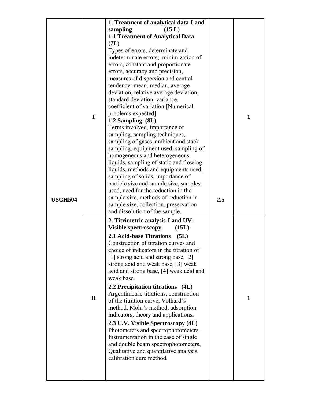|                |              | 1. Treatment of analytical data-I and                                          |     |              |
|----------------|--------------|--------------------------------------------------------------------------------|-----|--------------|
|                |              | sampling<br>(15 L)                                                             |     |              |
|                |              | <b>1.1 Treatment of Analytical Data</b>                                        |     |              |
|                |              | (7L)                                                                           |     |              |
|                |              | Types of errors, determinate and                                               |     |              |
|                |              | indeterminate errors, minimization of                                          |     |              |
|                |              | errors, constant and proportionate                                             |     |              |
|                |              | errors, accuracy and precision,                                                |     |              |
|                |              | measures of dispersion and central                                             |     |              |
|                |              | tendency: mean, median, average                                                |     |              |
|                |              | deviation, relative average deviation,                                         |     |              |
|                |              | standard deviation, variance,                                                  |     |              |
|                |              | coefficient of variation.[Numerical                                            |     |              |
|                |              | problems expected]                                                             |     |              |
|                | I            | 1.2 Sampling (8L)                                                              |     | $\mathbf{1}$ |
|                |              | Terms involved, importance of                                                  |     |              |
|                |              | sampling, sampling techniques,                                                 |     |              |
|                |              | sampling of gases, ambient and stack                                           |     |              |
|                |              | sampling, equipment used, sampling of                                          |     |              |
|                |              | homogeneous and heterogeneous                                                  |     |              |
|                |              | liquids, sampling of static and flowing                                        |     |              |
|                |              | liquids, methods and equipments used,                                          |     |              |
|                |              | sampling of solids, importance of                                              |     |              |
|                |              | particle size and sample size, samples                                         |     |              |
|                |              | used, need for the reduction in the                                            |     |              |
| <b>USCH504</b> |              | sample size, methods of reduction in                                           | 2.5 |              |
|                |              | sample size, collection, preservation                                          |     |              |
|                |              | and dissolution of the sample.                                                 |     |              |
|                |              | 2. Titrimetric analysis-I and UV-                                              |     |              |
|                |              | Visible spectroscopy.<br>(15L)                                                 |     |              |
|                |              | <b>2.1 Acid-base Titrations</b><br>(5L)                                        |     |              |
|                |              | Construction of titration curves and                                           |     |              |
|                |              | choice of indicators in the titration of                                       |     |              |
|                |              | [1] strong acid and strong base, [2]                                           |     |              |
|                |              | strong acid and weak base, [3] weak<br>acid and strong base, [4] weak acid and |     |              |
|                |              | weak base.                                                                     |     |              |
|                |              | 2.2 Precipitation titrations (4L)                                              |     |              |
|                |              | Argentimetric titrations, construction                                         |     |              |
|                | $\mathbf{I}$ | of the titration curve, Volhard's                                              |     | $\mathbf{1}$ |
|                |              | method, Mohr's method, adsorption                                              |     |              |
|                |              | indicators, theory and applications.                                           |     |              |
|                |              | 2.3 U.V. Visible Spectroscopy (4L)                                             |     |              |
|                |              | Photometers and spectrophotometers,                                            |     |              |
|                |              | Instrumentation in the case of single                                          |     |              |
|                |              | and double beam spectrophotometers,                                            |     |              |
|                |              | Qualitative and quantitative analysis,                                         |     |              |
|                |              | calibration cure method.                                                       |     |              |
|                |              |                                                                                |     |              |
|                |              |                                                                                |     |              |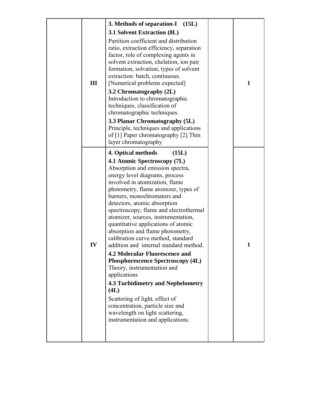| III | 3. Methods of separation-I (15L)<br>3.1 Solvent Extraction (8L)<br>Partition coefficient and distribution<br>ratio, extraction efficiency, separation<br>factor, role of complexing agents in<br>solvent extraction, chelation, ion pair<br>formation, solvation, types of solvent<br>extraction: batch, continuous.<br>[Numerical problems expected]<br>3.2 Chromatography (2L)<br>Introduction to chromatographic<br>techniques, classification of<br>chromatographic techniques.<br>3.3 Planar Chromatography (5L)<br>Principle, techniques and applications<br>of [1] Paper chromatography [2] Thin<br>layer chromatography                                                                                                                                                                                                                              | 1 |
|-----|--------------------------------------------------------------------------------------------------------------------------------------------------------------------------------------------------------------------------------------------------------------------------------------------------------------------------------------------------------------------------------------------------------------------------------------------------------------------------------------------------------------------------------------------------------------------------------------------------------------------------------------------------------------------------------------------------------------------------------------------------------------------------------------------------------------------------------------------------------------|---|
| IV  | 4. Optical methods<br>(15L)<br>4.1 Atomic Spectroscopy (7L)<br>Absorption and emission spectra,<br>energy level diagrams, process<br>involved in atomization, flame<br>photometry, flame atomizer, types of<br>burners, monochromators and<br>detectors, atomic absorption<br>spectroscopy; flame and electrothermal<br>atomizer, sources, instrumentation,<br>quantitative applications of atomic<br>absorption and flame photometry,<br>calibration curve method, standard<br>addition and internal standard method.<br><b>4.2 Molecular Fluorescence and</b><br><b>Phosphorescence Spectroscopy (4L)</b><br>Theory, instrumentation and<br>applications<br><b>4.3 Turbidimetry and Nephelometry</b><br>(4L)<br>Scattering of light, effect of<br>concentration, particle size and<br>wavelength on light scattering,<br>instrumentation and applications. |   |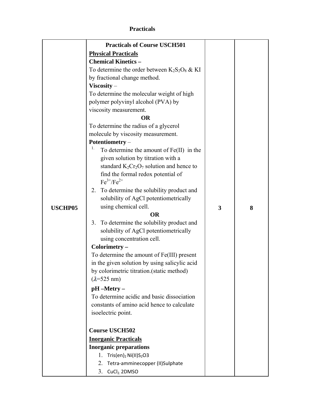# **Practicals**

|                | <b>Practicals of Course USCH501</b>              |   |   |
|----------------|--------------------------------------------------|---|---|
|                | <b>Physical Practicals</b>                       |   |   |
|                | <b>Chemical Kinetics -</b>                       |   |   |
|                | To determine the order between $K_2S_2O_8 \& KI$ |   |   |
|                | by fractional change method.                     |   |   |
|                | $Viscosity -$                                    |   |   |
|                | To determine the molecular weight of high        |   |   |
|                | polymer polyvinyl alcohol (PVA) by               |   |   |
|                | viscosity measurement.                           |   |   |
|                | <b>OR</b>                                        |   |   |
|                | To determine the radius of a glycerol            |   |   |
|                | molecule by viscosity measurement.               |   |   |
|                | Potentiometry-                                   |   |   |
|                | 1.<br>To determine the amount of $Fe(II)$ in the |   |   |
|                | given solution by titration with a               |   |   |
|                | standard $K_2Cr_2O_7$ solution and hence to      |   |   |
|                | find the formal redox potential of               |   |   |
|                | $Fe^{3+}/Fe^{2+}$                                |   |   |
|                | To determine the solubility product and<br>2.    |   |   |
|                | solubility of AgCl potentiometrically            |   |   |
| <b>USCHP05</b> | using chemical cell.                             | 3 | 8 |
|                | <b>OR</b>                                        |   |   |
|                | To determine the solubility product and<br>3.    |   |   |
|                | solubility of AgCl potentiometrically            |   |   |
|                | using concentration cell.                        |   |   |
|                | Colorimetry -                                    |   |   |
|                | To determine the amount of Fe(III) present       |   |   |
|                | in the given solution by using salicylic acid    |   |   |
|                | by colorimetric titration.(static method)        |   |   |
|                | $(\lambda = 525 \text{ nm})$                     |   |   |
|                | $pH$ –Metry –                                    |   |   |
|                | To determine acidic and basic dissociation       |   |   |
|                | constants of amino acid hence to calculate       |   |   |
|                | isoelectric point.                               |   |   |
|                | <b>Course USCH502</b>                            |   |   |
|                | <b>Inorganic Practicals</b>                      |   |   |
|                | <b>Inorganic preparations</b>                    |   |   |
|                | Tris $(en)_2$ Ni $(II)S_2O3$<br>1.               |   |   |
|                | Tetra-amminecopper (II)Sulphate<br>2.            |   |   |
|                | 3. CuCl <sub>2</sub> 2DMSO                       |   |   |
|                |                                                  |   |   |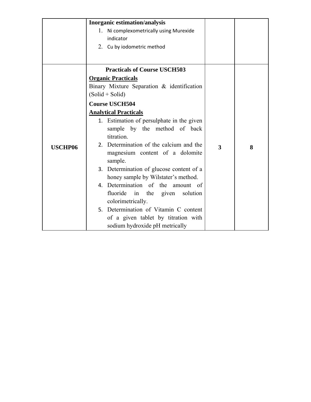|                | Inorganic estimation/analysis                                                           |   |   |
|----------------|-----------------------------------------------------------------------------------------|---|---|
|                | 1. Ni complexometrically using Murexide<br>indicator                                    |   |   |
|                | 2. Cu by iodometric method                                                              |   |   |
|                | <b>Practicals of Course USCH503</b>                                                     |   |   |
|                | <b>Organic Practicals</b>                                                               |   |   |
|                | Binary Mixture Separation & identification                                              |   |   |
|                | $(Solid + Solid)$                                                                       |   |   |
|                | <b>Course USCH504</b>                                                                   |   |   |
|                | <b>Analytical Practicals</b>                                                            |   |   |
|                | 1. Estimation of persulphate in the given<br>sample by the method of back<br>titration. |   |   |
| <b>USCHP06</b> | 2. Determination of the calcium and the<br>magnesium content of a dolomite<br>sample.   | 3 | 8 |
|                | 3. Determination of glucose content of a<br>honey sample by Wilstater's method.         |   |   |
|                | 4. Determination of the amount of                                                       |   |   |
|                | fluoride in the given<br>solution                                                       |   |   |
|                | colorimetrically.                                                                       |   |   |
|                | 5. Determination of Vitamin C content                                                   |   |   |
|                | of a given tablet by titration with                                                     |   |   |
|                | sodium hydroxide pH metrically                                                          |   |   |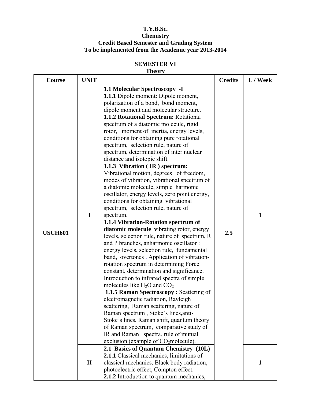## **T.Y.B.Sc. Chemistry Credit Based Semester and Grading System To be implemented from the Academic year 2013-2014**

# **SEMESTER VI**

## **Theory**

| <b>Course</b>  | <b>UNIT</b>  |                                                                                                                                                                                                                                                                                                                                                                                                                                                                                                                                                                                                                                                                                                                                                                                                                                                                                                                                                                                                                                                                                                                                                                                                                                                                                                                                                                                                                                                                                                                                                                                                                                        | <b>Credits</b> | L / Week     |
|----------------|--------------|----------------------------------------------------------------------------------------------------------------------------------------------------------------------------------------------------------------------------------------------------------------------------------------------------------------------------------------------------------------------------------------------------------------------------------------------------------------------------------------------------------------------------------------------------------------------------------------------------------------------------------------------------------------------------------------------------------------------------------------------------------------------------------------------------------------------------------------------------------------------------------------------------------------------------------------------------------------------------------------------------------------------------------------------------------------------------------------------------------------------------------------------------------------------------------------------------------------------------------------------------------------------------------------------------------------------------------------------------------------------------------------------------------------------------------------------------------------------------------------------------------------------------------------------------------------------------------------------------------------------------------------|----------------|--------------|
| <b>USCH601</b> | $\mathbf I$  | 1.1 Molecular Spectroscopy - I<br><b>1.1.1</b> Dipole moment: Dipole moment,<br>polarization of a bond, bond moment,<br>dipole moment and molecular structure.<br>1.1.2 Rotational Spectrum: Rotational<br>spectrum of a diatomic molecule, rigid<br>rotor, moment of inertia, energy levels,<br>conditions for obtaining pure rotational<br>spectrum, selection rule, nature of<br>spectrum, determination of inter nuclear<br>distance and isotopic shift.<br>1.1.3 Vibration (IR) spectrum:<br>Vibrational motion, degrees of freedom,<br>modes of vibration, vibrational spectrum of<br>a diatomic molecule, simple harmonic<br>oscillator, energy levels, zero point energy,<br>conditions for obtaining vibrational<br>spectrum, selection rule, nature of<br>spectrum.<br>1.1.4 Vibration-Rotation spectrum of<br>diatomic molecule vibrating rotor, energy<br>levels, selection rule, nature of spectrum, R<br>and P branches, anharmonic oscillator:<br>energy levels, selection rule, fundamental<br>band, overtones . Application of vibration-<br>rotation spectrum in determining Force<br>constant, determination and significance.<br>Introduction to infrared spectra of simple<br>molecules like $H_2O$ and $CO_2$<br>1.1.5 Raman Spectroscopy: Scattering of<br>electromagnetic radiation, Rayleigh<br>scattering, Raman scattering, nature of<br>Raman spectrum, Stoke's lines, anti-<br>Stoke's lines, Raman shift, quantum theory<br>of Raman spectrum, comparative study of<br>IR and Raman spectra, rule of mutual<br>exclusion.(example of CO <sub>2</sub> molecule).<br>2.1 Basics of Quantum Chemistry (10L) | 2.5            | $\mathbf{1}$ |
|                | $\mathbf{I}$ | 2.1.1 Classical mechanics, limitations of<br>classical mechanics, Black body radiation,<br>photoelectric effect, Compton effect.<br>2.1.2 Introduction to quantum mechanics,                                                                                                                                                                                                                                                                                                                                                                                                                                                                                                                                                                                                                                                                                                                                                                                                                                                                                                                                                                                                                                                                                                                                                                                                                                                                                                                                                                                                                                                           |                | $\mathbf{1}$ |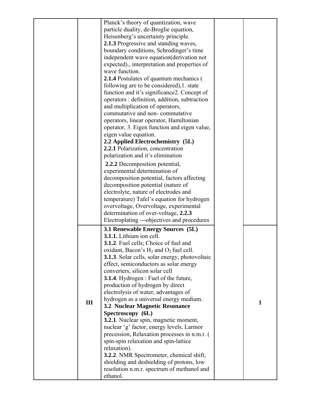|     | Planck's theory of quantization, wave                  |              |
|-----|--------------------------------------------------------|--------------|
|     | particle duality, de-Broglie equation,                 |              |
|     | Heisenberg's uncertainty principle.                    |              |
|     | <b>2.1.3</b> Progressive and standing waves,           |              |
|     |                                                        |              |
|     | boundary conditions, Schrodinger's time                |              |
|     | independent wave equation (derivation not              |              |
|     | expected)., interpretation and properties of           |              |
|     | wave function.                                         |              |
|     | 2.1.4 Postulates of quantum mechanics (                |              |
|     | following are to be considered), 1. state              |              |
|     | function and it's significance2. Concept of            |              |
|     | operators : definition, addition, subtraction          |              |
|     | and multiplication of operators,                       |              |
|     | commutative and non-commutative                        |              |
|     | operators, linear operator, Hamiltonian                |              |
|     | operator, 3. Eigen function and eigen value,           |              |
|     | eigen value equation.                                  |              |
|     | 2.2 Applied Electrochemistry (5L)                      |              |
|     | 2.2.1 Polarization, concentration                      |              |
|     | polarization and it's elimination                      |              |
|     |                                                        |              |
|     | 2.2.2 Decomposition potential,                         |              |
|     | experimental determination of                          |              |
|     | decomposition potential, factors affecting             |              |
|     | decomposition potential (nature of                     |              |
|     | electrolyte, nature of electrodes and                  |              |
|     | temperature) Tafel's equation for hydrogen             |              |
|     | overvoltage, Overvoltage, experimental                 |              |
|     | determination of over-voltage, 2.2.3                   |              |
|     | Electroplating ---objectives and procedures            |              |
|     | 3.1 Renewable Energy Sources (5L)                      |              |
|     | 3.1.1. Lithium ion cell.                               |              |
|     |                                                        |              |
|     | 3.1.2. Fuel cells; Choice of fuel and                  |              |
|     | oxidant, Bacon's $H_2$ and $O_2$ fuel cell.            |              |
|     | <b>3.1.3</b> . Solar cells, solar energy, photovoltaic |              |
|     | effect, semiconductors as solar energy                 |              |
|     | converters, silicon solar cell                         |              |
|     | <b>3.1.4</b> . Hydrogen : Fuel of the future,          |              |
|     | production of hydrogen by direct                       |              |
|     | electrolysis of water, advantages of                   |              |
| III | hydrogen as a universal energy medium.                 | $\mathbf{1}$ |
|     | 3.2 Nuclear Magnetic Resonance                         |              |
|     | Spectroscopy (6L)                                      |              |
|     | 3.2.1. Nuclear spin, magnetic moment,                  |              |
|     | nuclear 'g' factor, energy levels, Larmor              |              |
|     | precession, Relaxation processes in n.m.r. (           |              |
|     | spin-spin relaxation and spin-lattice                  |              |
|     | relaxation).                                           |              |
|     | <b>3.2.2</b> . NMR Spectrometer, chemical shift,       |              |
|     | shielding and deshielding of protons, low              |              |
|     | resolution n.m.r. spectrum of methanol and             |              |
|     | ethanol.                                               |              |
|     |                                                        |              |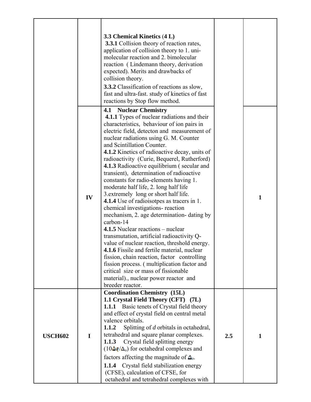|                | IV          | 3.3 Chemical Kinetics (4 L)<br><b>3.3.1</b> Collision theory of reaction rates,<br>application of collision theory to 1. uni-<br>molecular reaction and 2. bimolecular<br>reaction (Lindemann theory, derivation<br>expected). Merits and drawbacks of<br>collision theory.<br><b>3.3.2</b> Classification of reactions as slow,<br>fast and ultra-fast. study of kinetics of fast<br>reactions by Stop flow method.<br>4.1<br><b>Nuclear Chemistry</b><br><b>4.1.1</b> Types of nuclear radiations and their<br>characteristics, behaviour of ion pairs in<br>electric field, detecton and measurement of<br>nuclear radiations using G. M. Counter<br>and Scintillation Counter.<br>4.1.2 Kinetics of radioactive decay, units of<br>radioactivity (Curie, Bequerel, Rutherford)<br><b>4.1.3</b> Radioactive equilibrium (secular and<br>transient), determination of radioactive<br>constants for radio-elements having 1.<br>moderate half life, 2. long half life<br>3.extremely long or short half life.<br><b>4.1.4</b> Use of radioisotpes as tracers in 1.<br>chemical investigations- reaction<br>mechanism, 2. age determination-dating by<br>carbon-14<br>4.1.5 Nuclear reactions – nuclear<br>transmutation, artificial radioactivity Q-<br>value of nuclear reaction, threshold energy.<br>4.1.6 Fissile and fertile material, nuclear<br>fission, chain reaction, factor controlling<br>fission process. (multiplication factor and<br>critical size or mass of fissionable<br>material)., nuclear power reactor and |     | $\mathbf{1}$ |
|----------------|-------------|-------------------------------------------------------------------------------------------------------------------------------------------------------------------------------------------------------------------------------------------------------------------------------------------------------------------------------------------------------------------------------------------------------------------------------------------------------------------------------------------------------------------------------------------------------------------------------------------------------------------------------------------------------------------------------------------------------------------------------------------------------------------------------------------------------------------------------------------------------------------------------------------------------------------------------------------------------------------------------------------------------------------------------------------------------------------------------------------------------------------------------------------------------------------------------------------------------------------------------------------------------------------------------------------------------------------------------------------------------------------------------------------------------------------------------------------------------------------------------------------------------------------------------------|-----|--------------|
|                |             | breeder reactor.<br><b>Coordination Chemistry (15L)</b>                                                                                                                                                                                                                                                                                                                                                                                                                                                                                                                                                                                                                                                                                                                                                                                                                                                                                                                                                                                                                                                                                                                                                                                                                                                                                                                                                                                                                                                                             |     |              |
| <b>USCH602</b> | $\mathbf I$ | 1.1 Crystal Field Theory (CFT) (7L)<br><b>1.1.1</b> Basic tenets of Crystal field theory<br>and effect of crystal field on central metal<br>valence orbitals.<br>Splitting of d orbitals in octahedral,<br>1.1.2<br>tetrahedral and square planar complexes.<br>Crystal field splitting energy<br>1.1.3<br>$(10\Delta q/\Delta_0)$ for octahedral complexes and<br>factors affecting the magnitude of $\Delta_0$ .<br>Crystal field stabilization energy<br>1.1.4<br>(CFSE), calculation of CFSE, for<br>octahedral and tetrahedral complexes with                                                                                                                                                                                                                                                                                                                                                                                                                                                                                                                                                                                                                                                                                                                                                                                                                                                                                                                                                                                  | 2.5 | $\mathbf{1}$ |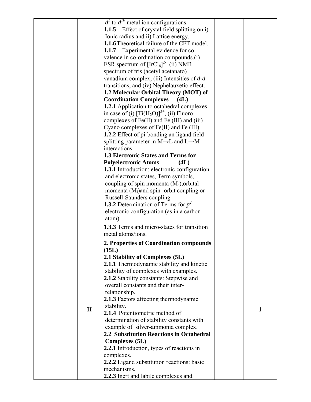|              | $d1$ to $d10$ metal ion configurations.<br><b>1.1.5</b> Effect of crystal field splitting on i) |              |
|--------------|-------------------------------------------------------------------------------------------------|--------------|
|              |                                                                                                 |              |
|              | Ionic radius and ii) Lattice energy.                                                            |              |
|              | <b>1.1.6</b> Theoretical failure of the CFT model.                                              |              |
|              | <b>1.1.7</b> Experimental evidence for co-                                                      |              |
|              | valence in co-ordination compounds.(i)                                                          |              |
|              | ESR spectrum of $[IrCl_6]^{2}$ (ii) NMR                                                         |              |
|              | spectrum of tris (acetyl acetanato)                                                             |              |
|              | vanadium complex, (iii) Intensities of $d-d$                                                    |              |
|              | transitions, and (iv) Nephelauxetic effect.                                                     |              |
|              | 1.2 Molecular Orbital Theory (MOT) of                                                           |              |
|              | <b>Coordination Complexes</b><br>(4L)                                                           |              |
|              | 1.2.1 Application to octahedral complexes                                                       |              |
|              | in case of (i) $[Ti(H_2O)]^{3+}$ , (ii) Fluoro                                                  |              |
|              |                                                                                                 |              |
|              | complexes of Fe(II) and Fe (III) and (iii)                                                      |              |
|              | Cyano complexes of Fe(II) and Fe (III).                                                         |              |
|              | 1.2.2 Effect of pi-bonding an ligand field                                                      |              |
|              | splitting parameter in $M \rightarrow L$ and $L \rightarrow M$                                  |              |
|              | interactions.                                                                                   |              |
|              | <b>1.3 Electronic States and Terms for</b>                                                      |              |
|              | <b>Polyelectronic Atoms</b><br>(4L)                                                             |              |
|              | <b>1.3.1</b> Introduction: electronic configuration                                             |              |
|              | and electronic states, Term symbols,                                                            |              |
|              | coupling of spin momenta $(M_s)$ , orbital                                                      |              |
|              | momenta $(Ml)$ and spin- orbit coupling or                                                      |              |
|              | Russell-Saunders coupling.                                                                      |              |
|              | <b>1.3.2</b> Determination of Terms for $p^2$                                                   |              |
|              |                                                                                                 |              |
|              | electronic configuration (as in a carbon                                                        |              |
|              | atom).                                                                                          |              |
|              | <b>1.3.3</b> Terms and micro-states for transition                                              |              |
|              | metal atoms/ions.                                                                               |              |
|              | 2. Properties of Coordination compounds                                                         |              |
|              | (15L)                                                                                           |              |
|              | 2.1 Stability of Complexes (5L)                                                                 |              |
|              | 2.1.1 Thermodynamic stability and kinetic                                                       |              |
|              | stability of complexes with examples.                                                           |              |
|              | 2.1.2 Stability constants: Stepwise and                                                         |              |
|              | overall constants and their inter-                                                              |              |
|              | relationship.                                                                                   |              |
|              | 2.1.3 Factors affecting thermodynamic                                                           |              |
|              | stability.                                                                                      |              |
| $\mathbf{I}$ | 2.1.4 Potentiometric method of                                                                  | $\mathbf{1}$ |
|              |                                                                                                 |              |
|              | determination of stability constants with                                                       |              |
|              | example of silver-ammonia complex.                                                              |              |
|              | 2.2 Substitution Reactions in Octahedral                                                        |              |
|              | <b>Complexes</b> (5L)                                                                           |              |
|              | 2.2.1 Introduction, types of reactions in                                                       |              |
|              | complexes.                                                                                      |              |
|              | 2.2.2 Ligand substitution reactions: basic                                                      |              |
|              | mechanisms.                                                                                     |              |
|              | 2.2.3 Inert and labile complexes and                                                            |              |
|              |                                                                                                 |              |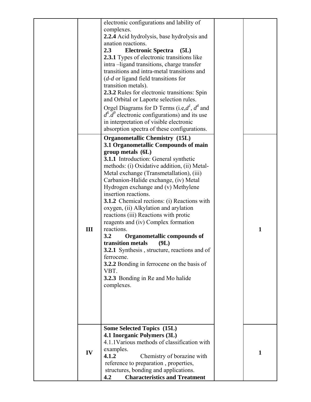|     | electronic configurations and lability of<br>complexes.<br>2.2.4 Acid hydrolysis, base hydrolysis and<br>anation reactions.<br>2.3<br><b>Electronic Spectra</b><br>(5L)<br><b>2.3.1</b> Types of electronic transitions like<br>intra-ligand transitions, charge transfer<br>transitions and intra-metal transitions and<br>$(d-d \text{ or ligand field transitions for})$<br>transition metals).                                                                                                                                                                                                                                                                                                                                                                                            |              |
|-----|-----------------------------------------------------------------------------------------------------------------------------------------------------------------------------------------------------------------------------------------------------------------------------------------------------------------------------------------------------------------------------------------------------------------------------------------------------------------------------------------------------------------------------------------------------------------------------------------------------------------------------------------------------------------------------------------------------------------------------------------------------------------------------------------------|--------------|
|     | 2.3.2 Rules for electronic transitions: Spin<br>and Orbital or Laporte selection rules.<br>Orgel Diagrams for D Terms (i.e, $d^1$ , $d^4$ and<br>$d^6$ . $d^9$ electronic configurations) and its use<br>in interpretation of visible electronic<br>absorption spectra of these configurations.                                                                                                                                                                                                                                                                                                                                                                                                                                                                                               |              |
| III | <b>Organometallic Chemistry (15L)</b><br>3.1 Organometallic Compounds of main<br>group metals (6L)<br><b>3.1.1</b> Introduction: General synthetic<br>methods: (i) Oxidative addition, (ii) Metal-<br>Metal exchange (Transmetallation), (iii)<br>Carbanion-Halide exchange, (iv) Metal<br>Hydrogen exchange and (v) Methylene<br>insertion reactions.<br><b>3.1.2</b> Chemical rections: (i) Reactions with<br>oxygen, (ii) Alkylation and arylation<br>reactions (iii) Reactions with protic<br>reagents and (iv) Complex formation<br>reactions.<br>3.2<br>Organometallic compounds of<br>transition metals<br>(9L)<br>3.2.1 Synthesis, structure, reactions and of<br>ferrocene.<br>3.2.2 Bonding in ferrocene on the basis of<br>VBT.<br>3.2.3 Bonding in Re and Mo halide<br>complexes. | $\mathbf{1}$ |
| IV  | <b>Some Selected Topics (15L)</b><br>4.1 Inorganic Polymers (3L)<br>4.1.1 Various methods of classification with<br>examples.<br>4.1.2<br>Chemistry of borazine with<br>reference to preparation, properties,<br>structures, bonding and applications.<br><b>Characteristics and Treatment</b><br>4.2                                                                                                                                                                                                                                                                                                                                                                                                                                                                                         | $\mathbf{1}$ |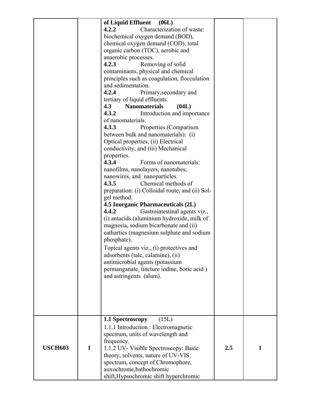|                |   | of Liquid Effluent<br>(06L)<br>4.2.2<br>Characterization of waste:<br>biochemical oxygen demand (BOD),<br>chemical oxygen demand (COD), total<br>organic carbon (TOC), aerobic and<br>anaerobic processes.<br>4.2.3<br>Removing of solid<br>contaminants, physical and chemical<br>principles such as coagulation, flocculation<br>and sedimentation.<br>4.2.4<br>Primary, secondary and<br>tertiary of liquid effluents.<br>4.3<br><b>Nanomaterials</b><br>(04L)<br>4.3.2<br>Introduction and importance<br>of nanomaterials.<br>4.3.3<br>Properties (Comparison<br>between bulk and nanomaterials): (i)<br>Optical properties, (ii) Electrical<br>conductivity, and (iii) Mechanical<br>properties.<br>Forms of nanomaterials:<br>4.3.4<br>nanofilms, nanolayers, nanotubes,<br>nanowires, and nanoparticles.<br>Chemical methods of<br>4.3.5<br>preparation: (i) Colloidal route, and (ii) Sol-<br>gel method.<br><b>4.5 Inorganic Pharmaceuticals (2L)</b><br>4.4.2<br>Gastrointestinal agents viz.,<br>(i) antacids (aluminium hydroxide, milk of<br>magnesia, sodium bicarbonate and (ii)<br>cathartics (magnesium sulphate and sodium<br>phosphate).<br>Topical agents viz., (i) protectives and<br>adsorbents (talc, calamine), (ii)<br>antimicrobial agents (potassium<br>permanganate, tincture iodine, boric acid)<br>and astringents (alum). |     |   |
|----------------|---|----------------------------------------------------------------------------------------------------------------------------------------------------------------------------------------------------------------------------------------------------------------------------------------------------------------------------------------------------------------------------------------------------------------------------------------------------------------------------------------------------------------------------------------------------------------------------------------------------------------------------------------------------------------------------------------------------------------------------------------------------------------------------------------------------------------------------------------------------------------------------------------------------------------------------------------------------------------------------------------------------------------------------------------------------------------------------------------------------------------------------------------------------------------------------------------------------------------------------------------------------------------------------------------------------------------------------------------------------------|-----|---|
| <b>USCH603</b> | I | 1.1 Spectroscopy<br>(15L)<br>1.1.1 Introduction : Electromagnetic<br>spectrum, units of wavelength and<br>frequency.<br>1.1.2 UV- Visible Spectroscopy: Basic<br>theory, solvents, nature of UV-VIS<br>spectrum, concept of Chromophore,<br>auxochrome, bathochromic<br>shift, Hypsochromic shift hyperchromic                                                                                                                                                                                                                                                                                                                                                                                                                                                                                                                                                                                                                                                                                                                                                                                                                                                                                                                                                                                                                                           | 2.5 | 1 |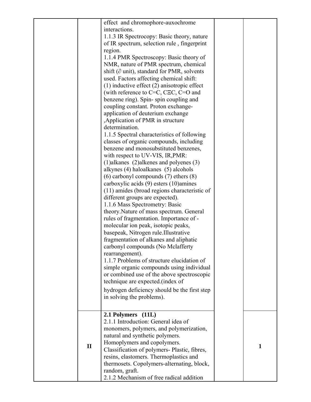|              | effect and chromophore-auxochrome                    |              |
|--------------|------------------------------------------------------|--------------|
|              | interactions.                                        |              |
|              | 1.1.3 IR Spectrocopy: Basic theory, nature           |              |
|              | of IR spectrum, selection rule, fingerprint          |              |
|              | region.                                              |              |
|              | 1.1.4 PMR Spectroscopy: Basic theory of              |              |
|              | NMR, nature of PMR spectrum, chemical                |              |
|              | shift ( $\partial$ unit), standard for PMR, solvents |              |
|              | used. Factors affecting chemical shift:              |              |
|              | $(1)$ inductive effect $(2)$ anisotropic effect      |              |
|              | (with reference to $C=C, C\equiv C, C=O$ and         |              |
|              | benzene ring). Spin-spin coupling and                |              |
|              | coupling constant. Proton exchange-                  |              |
|              | application of deuterium exchange                    |              |
|              | , Application of PMR in structure                    |              |
|              | determination.                                       |              |
|              | 1.1.5 Spectral characteristics of following          |              |
|              | classes of organic compounds, including              |              |
|              | benzene and monosubstituted benzenes,                |              |
|              | with respect to UV-VIS, IR, PMR:                     |              |
|              | $(1)$ alkanes $(2)$ alkenes and polyenes $(3)$       |              |
|              | alkynes (4) haloalkanes (5) alcohols                 |              |
|              | $(6)$ carbonyl compounds $(7)$ ethers $(8)$          |              |
|              | carboxylic acids (9) esters (10)amines               |              |
|              | (11) amides (broad regions characteristic of         |              |
|              | different groups are expected).                      |              |
|              | 1.1.6 Mass Spectrometry: Basic                       |              |
|              | theory. Nature of mass spectrum. General             |              |
|              | rules of fragmentation. Importance of -              |              |
|              | molecular ion peak, isotopic peaks,                  |              |
|              | basepeak, Nitrogen rule. Illustrative                |              |
|              | fragmentation of alkanes and aliphatic               |              |
|              | carbonyl compounds (No Mclafferty                    |              |
|              | rearrangement).                                      |              |
|              | 1.1.7 Problems of structure elucidation of           |              |
|              | simple organic compounds using individual            |              |
|              | or combined use of the above spectroscopic           |              |
|              | technique are expected. (index of                    |              |
|              | hydrogen deficiency should be the first step         |              |
|              |                                                      |              |
|              | in solving the problems).                            |              |
|              |                                                      |              |
|              | 2.1 Polymers (11L)                                   |              |
|              | 2.1.1 Introduction: General idea of                  |              |
|              | monomers, polymers, and polymerization,              |              |
|              | natural and synthetic polymers.                      |              |
| $\mathbf{I}$ | Homoplymers and copolymers.                          | $\mathbf{1}$ |
|              | Classification of polymers- Plastic, fibres,         |              |
|              | resins, elastomers. Thermoplastics and               |              |
|              | thermosets. Copolymers-alternating, block,           |              |
|              | random, graft.                                       |              |
|              | 2.1.2 Mechanism of free radical addition             |              |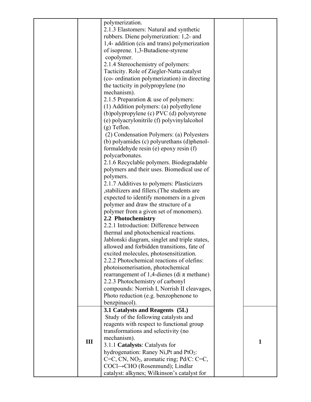|     | polymerization.                                      |              |
|-----|------------------------------------------------------|--------------|
|     | 2.1.3 Elastomers: Natural and synthetic              |              |
|     |                                                      |              |
|     | rubbers. Diene polymerization: 1,2- and              |              |
|     | 1,4- addition (cis and trans) polymerization         |              |
|     | of isoprene. 1,3-Butadiene-styrene                   |              |
|     | copolymer.                                           |              |
|     | 2.1.4 Stereochemistry of polymers:                   |              |
|     |                                                      |              |
|     | Tacticity. Role of Ziegler-Natta catalyst            |              |
|     | (co- ordination polymerization) in directing         |              |
|     | the tacticity in polypropylene (no                   |              |
|     | mechanism).                                          |              |
|     | 2.1.5 Preparation & use of polymers:                 |              |
|     | (1) Addition polymers: (a) polyethylene              |              |
|     |                                                      |              |
|     | (b)polypropylene (c) PVC (d) polystyrene             |              |
|     | (e) polyacrylonitrile (f) polyvinylalcohol           |              |
|     | $(g)$ Teflon.                                        |              |
|     | (2) Condensation Polymers: (a) Polyesters            |              |
|     | (b) polyamides (c) polyurethans (d)phenol-           |              |
|     | formaldehyde resin (e) epoxy resin (f)               |              |
|     | polycarbonates.                                      |              |
|     |                                                      |              |
|     | 2.1.6 Recyclable polymers. Biodegradable             |              |
|     | polymers and their uses. Biomedical use of           |              |
|     | polymers.                                            |              |
|     | 2.1.7 Additives to polymers: Plasticizers            |              |
|     | stabilizers and fillers. (The students are           |              |
|     | expected to identify monomers in a given             |              |
|     | polymer and draw the structure of a                  |              |
|     |                                                      |              |
|     | polymer from a given set of monomers).               |              |
|     | 2.2 Photochemistry                                   |              |
|     | 2.2.1 Introduction: Difference between               |              |
|     | thermal and photochemical reactions.                 |              |
|     | Jablonski diagram, singlet and triple states,        |              |
|     | allowed and forbidden transitions, fate of           |              |
|     | excited molecules, photosensitization.               |              |
|     |                                                      |              |
|     | 2.2.2 Photochemical reactions of olefins:            |              |
|     | photoisomerisation, photochemical                    |              |
|     | rearrangement of 1,4-dienes (di $\pi$ methane)       |              |
|     | 2.2.3 Photochemistry of carbonyl                     |              |
|     | compounds: Norrish I, Norrish II cleavages,          |              |
|     | Photo reduction (e.g. benzophenone to                |              |
|     | benzpinacol).                                        |              |
|     | 3.1 Catalysts and Reagents (5L)                      |              |
|     |                                                      |              |
|     | Study of the following catalysts and                 |              |
|     | reagents with respect to functional group            |              |
|     | transformations and selectivity (no                  |              |
| III | mechanism).                                          | $\mathbf{1}$ |
|     | 3.1.1 Catalysts: Catalysts for                       |              |
|     | hydrogenation: Raney Ni, Pt and PtO <sub>2</sub> :   |              |
|     | C=C, CN, NO <sub>2</sub> , aromatic ring; Pd/C: C=C, |              |
|     |                                                      |              |
|     | COCl→CHO (Rosenmund); Lindlar                        |              |
|     | catalyst: alkynes; Wilkinson's catalyst for          |              |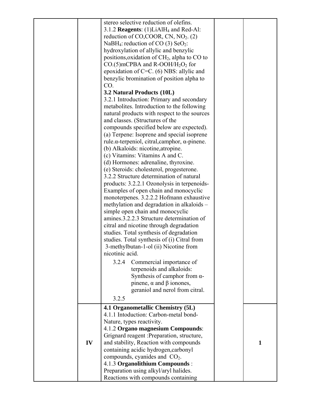|    | stereo selective reduction of olefins.<br>3.1.2 <b>Reagents</b> : $(1)LiA1H_4$ and Red-Al:<br>reduction of CO,COOR, CN, $NO2$ . (2)<br>NaBH <sub>4</sub> : reduction of CO (3) SeO <sub>2</sub> :<br>hydroxylation of allylic and benzylic<br>positions, oxidation of CH <sub>2</sub> , alpha to CO to<br>$CO.(5)$ mCPBA and R-OOH/H <sub>2</sub> O <sub>2</sub> for<br>epoxidation of $C=C.$ (6) NBS: allylic and<br>benzylic bromination of position alpha to<br>CO.<br>3.2 Natural Products (10L)<br>3.2.1 Introduction: Primary and secondary<br>metabolites. Introduction to the following<br>natural products with respect to the sources<br>and classes. (Structures of the<br>compounds specified below are expected).<br>(a) Terpene: Isoprene and special isoprene<br>rule. $\alpha$ -terpeniol, citral, camphor, $\alpha$ -pinene.<br>(b) Alkaloids: nicotine, atropine.<br>(c) Vitamins: Vitamins A and C.<br>(d) Hormones: adrenaline, thyroxine.<br>(e) Steroids: cholesterol, progesterone.<br>3.2.2 Structure determination of natural<br>products: 3.2.2.1 Ozonolysis in terpenoids-<br>Examples of open chain and monocyclic<br>monoterpenes. 3.2.2.2 Hofmann exhaustive<br>methylation and degradation in alkaloids -<br>simple open chain and monocyclic<br>amines.3.2.2.3 Structure determination of<br>citral and nicotine through degradation<br>studies. Total synthesis of degradation<br>studies. Total synthesis of (i) Citral from<br>3-methylbutan-1-ol (ii) Nicotine from<br>nicotinic acid.<br>Commercial importance of<br>3.2.4<br>terpenoids and alkaloids: |              |
|----|----------------------------------------------------------------------------------------------------------------------------------------------------------------------------------------------------------------------------------------------------------------------------------------------------------------------------------------------------------------------------------------------------------------------------------------------------------------------------------------------------------------------------------------------------------------------------------------------------------------------------------------------------------------------------------------------------------------------------------------------------------------------------------------------------------------------------------------------------------------------------------------------------------------------------------------------------------------------------------------------------------------------------------------------------------------------------------------------------------------------------------------------------------------------------------------------------------------------------------------------------------------------------------------------------------------------------------------------------------------------------------------------------------------------------------------------------------------------------------------------------------------------------------------------------------------------------------------------|--------------|
|    |                                                                                                                                                                                                                                                                                                                                                                                                                                                                                                                                                                                                                                                                                                                                                                                                                                                                                                                                                                                                                                                                                                                                                                                                                                                                                                                                                                                                                                                                                                                                                                                              |              |
|    |                                                                                                                                                                                                                                                                                                                                                                                                                                                                                                                                                                                                                                                                                                                                                                                                                                                                                                                                                                                                                                                                                                                                                                                                                                                                                                                                                                                                                                                                                                                                                                                              |              |
|    | Synthesis of camphor from $\alpha$ -<br>pinene, $\alpha$ and $\beta$ ionones,<br>geraniol and nerol from citral.                                                                                                                                                                                                                                                                                                                                                                                                                                                                                                                                                                                                                                                                                                                                                                                                                                                                                                                                                                                                                                                                                                                                                                                                                                                                                                                                                                                                                                                                             |              |
|    | 3.2.5                                                                                                                                                                                                                                                                                                                                                                                                                                                                                                                                                                                                                                                                                                                                                                                                                                                                                                                                                                                                                                                                                                                                                                                                                                                                                                                                                                                                                                                                                                                                                                                        |              |
|    | 4.1 Organometallic Chemistry (5L)<br>4.1.1 Intoduction: Carbon-metal bond-<br>Nature, types reactivity.<br>4.1.2 Organo magnesium Compounds:                                                                                                                                                                                                                                                                                                                                                                                                                                                                                                                                                                                                                                                                                                                                                                                                                                                                                                                                                                                                                                                                                                                                                                                                                                                                                                                                                                                                                                                 |              |
| IV | Grignard reagent : Preparation, structure,<br>and stability, Reaction with compounds<br>containing acidic hydrogen, carbonyl<br>compounds, cyanides and $CO2$ .                                                                                                                                                                                                                                                                                                                                                                                                                                                                                                                                                                                                                                                                                                                                                                                                                                                                                                                                                                                                                                                                                                                                                                                                                                                                                                                                                                                                                              | $\mathbf{1}$ |
|    | 4.1.3 Organolithium Compounds:<br>Preparation using alkyl/aryl halides.<br>Reactions with compounds containing                                                                                                                                                                                                                                                                                                                                                                                                                                                                                                                                                                                                                                                                                                                                                                                                                                                                                                                                                                                                                                                                                                                                                                                                                                                                                                                                                                                                                                                                               |              |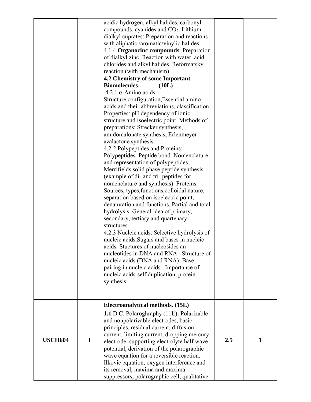|                |             | acidic hydrogen, alkyl halides, carbonyl<br>compounds, cyanides and CO <sub>2</sub> . Lithium<br>dialkyl cuprates: Preparation and reactions<br>with aliphatic /aromatic/vinylic halides.<br>4.1.4 Organozinc compounds: Preparation<br>of dialkyl zinc. Reaction with water, acid<br>chlorides and alkyl halides. Reformatsky<br>reaction (with mechanism).<br>4.2 Chemistry of some Important<br><b>Biomolecules:</b><br>(10L)<br>4.2.1 α-Amino acids:<br>Structure, configuration, Essential amino<br>acids and their abbreviations, classification,<br>Properties: pH dependency of ionic<br>structure and isoelectric point. Methods of<br>preparations: Strecker synthesis,<br>amidomalonate synthesis, Erlenmeyer<br>azalactone synthesis.<br>4.2.2 Polypeptides and Proteins:<br>Polypeptides: Peptide bond. Nomenclature<br>and representation of polypeptides.<br>Merrifields solid phase peptide synthesis<br>(example of di- and tri- peptides for<br>nomenclature and synthesis). Proteins:<br>Sources, types, functions, colloidal nature,<br>separation based on isoelectric point,<br>denaturation and functions. Partial and total<br>hydrolysis. General idea of primary,<br>secondary, tertiary and quartenary<br>structures.<br>4.2.3 Nucleic acids: Selective hydrolysis of<br>nucleic acids. Sugars and bases in nucleic<br>acids. Stuctures of nucleosides an<br>nucleotides in DNA and RNA. Structure of<br>nucleic acids (DNA and RNA): Base<br>pairing in nucleic acids. Importance of<br>nucleic acids-self duplication, protein<br>synthesis. |     |              |
|----------------|-------------|---------------------------------------------------------------------------------------------------------------------------------------------------------------------------------------------------------------------------------------------------------------------------------------------------------------------------------------------------------------------------------------------------------------------------------------------------------------------------------------------------------------------------------------------------------------------------------------------------------------------------------------------------------------------------------------------------------------------------------------------------------------------------------------------------------------------------------------------------------------------------------------------------------------------------------------------------------------------------------------------------------------------------------------------------------------------------------------------------------------------------------------------------------------------------------------------------------------------------------------------------------------------------------------------------------------------------------------------------------------------------------------------------------------------------------------------------------------------------------------------------------------------------------------------------------------------------|-----|--------------|
| <b>USCH604</b> | $\mathbf I$ | Electroanalytical methods. (15L)<br><b>1.1</b> D.C. Polaroghraphy (11L): Polarizable<br>and nonpolarizable electrodes, basic<br>principles, residual current, diffusion<br>current, limiting current, dropping mercury<br>electrode, supporting electrolyte half wave<br>potential, derivation of the polarographic<br>wave equation for a reversible reaction.<br>Ilkovic equation, oxygen interference and<br>its removal, maxima and maxima<br>suppressors, polarographic cell, qualitative                                                                                                                                                                                                                                                                                                                                                                                                                                                                                                                                                                                                                                                                                                                                                                                                                                                                                                                                                                                                                                                                            | 2.5 | $\mathbf{1}$ |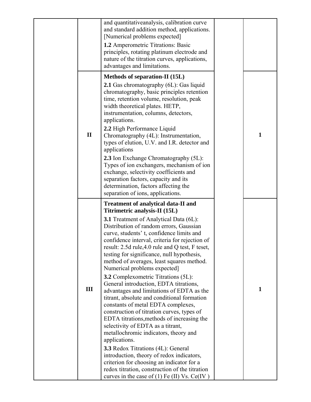|              | and quantitativeanalysis, calibration curve<br>and standard addition method, applications.<br>[Numerical problems expected]<br>1.2 Amperometric Titrations: Basic<br>principles, rotating platinum electrode and<br>nature of the titration curves, applications,<br>advantages and limitations.                                                                                                                                                                                                                                                                                                                                                                                                                                                                                                                                                                                                                                                                                                                                                                                                             |              |
|--------------|--------------------------------------------------------------------------------------------------------------------------------------------------------------------------------------------------------------------------------------------------------------------------------------------------------------------------------------------------------------------------------------------------------------------------------------------------------------------------------------------------------------------------------------------------------------------------------------------------------------------------------------------------------------------------------------------------------------------------------------------------------------------------------------------------------------------------------------------------------------------------------------------------------------------------------------------------------------------------------------------------------------------------------------------------------------------------------------------------------------|--------------|
| $\mathbf{I}$ | <b>Methods of separation-II (15L)</b><br>2.1 Gas chromatography (6L): Gas liquid<br>chromatography, basic principles retention<br>time, retention volume, resolution, peak<br>width theoretical plates. HETP,<br>instrumentation, columns, detectors,<br>applications.<br>2.2 High Performance Liquid<br>Chromatography (4L): Instrumentation,<br>types of elution, U.V. and I.R. detector and<br>applications<br>2.3 Ion Exchange Chromatography (5L):<br>Types of ion exchangers, mechanism of ion<br>exchange, selectivity coefficients and<br>separation factors, capacity and its<br>determination, factors affecting the<br>separation of ions, applications.                                                                                                                                                                                                                                                                                                                                                                                                                                          | $\mathbf{1}$ |
| III          | <b>Treatment of analytical data-II and</b><br>Titrimetric analysis-II (15L)<br><b>3.1</b> Treatment of Analytical Data (6L):<br>Distribution of random errors, Gaussian<br>curve, students' t, confidence limits and<br>confidence interval, criteria for rejection of<br>result: 2.5d rule, 4.0 rule and Q test, F teset,<br>testing for significance, null hypothesis,<br>method of averages, least squares method.<br>Numerical problems expected]<br>3.2 Complexometric Titrations (5L):<br>General introduction, EDTA titrations,<br>advantages and limitations of EDTA as the<br>titrant, absolute and conditional formation<br>constants of metal EDTA complexes,<br>construction of titration curves, types of<br>EDTA titrations, methods of increasing the<br>selectivity of EDTA as a titrant,<br>metallochromic indicators, theory and<br>applications.<br>3.3 Redox Titrations (4L): General<br>introduction, theory of redox indicators,<br>criterion for choosing an indicator for a<br>redox titration, construction of the titration<br>curves in the case of $(1)$ Fe $(II)$ Vs. Ce $(IV)$ | $\mathbf{1}$ |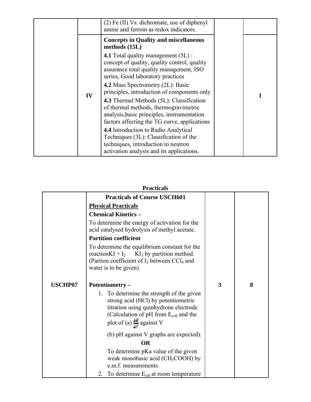|    | (2) Fe (II) Vs. dichromate, use of diphenyl<br>amine and ferroin as redox indicators.                                                                                                                                                                                                                                                                                                                                                                                                                                                                                                                               |  |
|----|---------------------------------------------------------------------------------------------------------------------------------------------------------------------------------------------------------------------------------------------------------------------------------------------------------------------------------------------------------------------------------------------------------------------------------------------------------------------------------------------------------------------------------------------------------------------------------------------------------------------|--|
| IV | <b>Concepts in Quality and miscellaneous</b><br>methods (15L)<br><b>4.1</b> Total quality management (5L) :<br>concept of quality, quality control, quality<br>assurance total quality management, ISO<br>series, Good laboratory practices<br><b>4.2 Mass Spectrometry (2L): Basic</b><br>principles, introduction of components only<br><b>4.3</b> Thermal Methods (5L): Classification<br>of thermal methods, thermogravimetric<br>analysis, basic principles, instrumentation<br>factors affecting the TG curve, applications<br>4.4 Introduction to Radio Analytical<br>Techniques (3L): Classification of the |  |
|    | techniques, introduction to neutron<br>activation analysis and its applications.                                                                                                                                                                                                                                                                                                                                                                                                                                                                                                                                    |  |

| l facucais     |                                                                                                                                                                                  |   |   |  |  |
|----------------|----------------------------------------------------------------------------------------------------------------------------------------------------------------------------------|---|---|--|--|
|                | <b>Practicals of Course USCH601</b>                                                                                                                                              |   |   |  |  |
|                | <b>Physical Practicals</b>                                                                                                                                                       |   |   |  |  |
|                | <b>Chemical Kinetics -</b>                                                                                                                                                       |   |   |  |  |
|                | To determine the energy of activation for the<br>acid catalysed hydrolysis of methyl acetate.                                                                                    |   |   |  |  |
|                | <b>Partition coefficient</b>                                                                                                                                                     |   |   |  |  |
|                | To determine the equilibrium constant for the<br>reaction KI + $I_2$ KI <sub>3</sub> by partition method.<br>(Partion coefficient of I <sub>2</sub> between CCl <sub>4</sub> and |   |   |  |  |
|                | water is to be given)                                                                                                                                                            |   |   |  |  |
| <b>USCHP07</b> | Potentiometry -                                                                                                                                                                  | 3 | 8 |  |  |
|                | 1. To determine the strength of the given<br>strong acid (HCl) by potentiometric                                                                                                 |   |   |  |  |
|                | titration using quinhydrone electrode<br>(Calculation of pH from E <sub>cell</sub> and the                                                                                       |   |   |  |  |
|                | plot of (a) $\frac{\Delta E}{\Delta V}$ against V                                                                                                                                |   |   |  |  |
|                | (b) pH against V graphs are expected).                                                                                                                                           |   |   |  |  |
|                | <b>OR</b>                                                                                                                                                                        |   |   |  |  |
|                | To determine pKa value of the given<br>weak monobasic acid ( $CH3COOH$ ) by<br>e.m.f. measurements.                                                                              |   |   |  |  |
|                | 2. To determine $E_{cal}$ at room temperature                                                                                                                                    |   |   |  |  |

### **Practicals**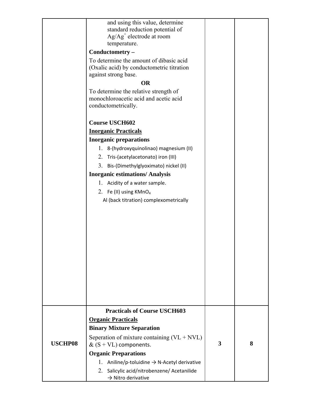|                | and using this value, determine<br>standard reduction potential of<br>$Ag/Ag+$ electrode at room<br>temperature. |   |   |
|----------------|------------------------------------------------------------------------------------------------------------------|---|---|
|                | Conductometry-                                                                                                   |   |   |
|                | To determine the amount of dibasic acid<br>(Oxalic acid) by conductometric titration<br>against strong base.     |   |   |
|                | <b>OR</b>                                                                                                        |   |   |
|                | To determine the relative strength of<br>monochloroacetic acid and acetic acid<br>conductometrically.            |   |   |
|                | <b>Course USCH602</b>                                                                                            |   |   |
|                | <b>Inorganic Practicals</b>                                                                                      |   |   |
|                | <b>Inorganic preparations</b>                                                                                    |   |   |
|                | 1. 8-(hydroxyquinolinao) magnesium (II)                                                                          |   |   |
|                | 2. Tris-(acetylacetonato) iron (III)                                                                             |   |   |
|                | 3. Bis-(Dimethylglyoximato) nickel (II)                                                                          |   |   |
|                | <b>Inorganic estimations/Analysis</b>                                                                            |   |   |
|                | 1. Acidity of a water sample.                                                                                    |   |   |
|                | 2. Fe (II) using KMnO <sub>4</sub>                                                                               |   |   |
|                | Al (back titration) complexometrically                                                                           |   |   |
|                |                                                                                                                  |   |   |
|                |                                                                                                                  |   |   |
|                |                                                                                                                  |   |   |
|                |                                                                                                                  |   |   |
|                |                                                                                                                  |   |   |
|                |                                                                                                                  |   |   |
|                |                                                                                                                  |   |   |
|                |                                                                                                                  |   |   |
|                |                                                                                                                  |   |   |
|                |                                                                                                                  |   |   |
|                |                                                                                                                  |   |   |
|                | <b>Practicals of Course USCH603</b>                                                                              |   |   |
| <b>USCHP08</b> | <b>Organic Practicals</b>                                                                                        |   |   |
|                | <b>Binary Mixture Separation</b>                                                                                 |   |   |
|                | Seperation of mixture containing $(VL + VVL)$<br>& $(S + VL)$ components.                                        | 3 | 8 |
|                | <b>Organic Preparations</b>                                                                                      |   |   |
|                | 1. Aniline/p-toluidine $\rightarrow$ N-Acetyl derivative                                                         |   |   |
|                | 2.<br>Salicylic acid/nitrobenzene/ Acetanilide<br>$\rightarrow$ Nitro derivative                                 |   |   |